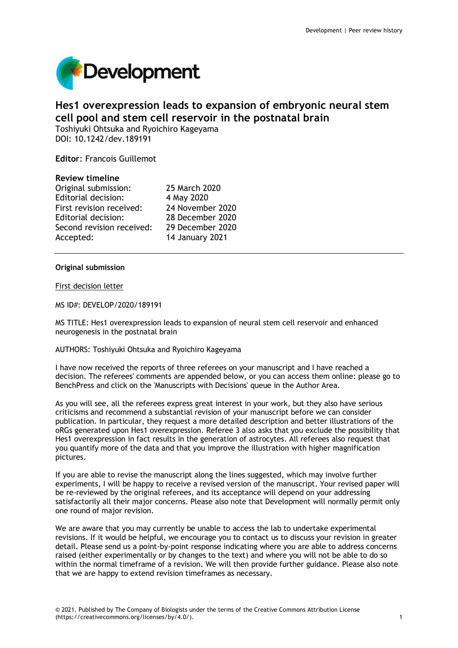

# **Hes1 overexpression leads to expansion of embryonic neural stem cell pool and stem cell reservoir in the postnatal brain**

Toshiyuki Ohtsuka and Ryoichiro Kageyama DOI: 10.1242/dev.189191

**Editor**: Francois Guillemot

# **Review timeline**

| 25 March 2020    |
|------------------|
| 4 May 2020       |
| 24 November 2020 |
| 28 December 2020 |
| 29 December 2020 |
| 14 January 2021  |
|                  |

# **Original submission**

# First decision letter

MS ID#: DEVELOP/2020/189191

MS TITLE: Hes1 overexpression leads to expansion of neural stem cell reservoir and enhanced neurogenesis in the postnatal brain

## AUTHORS: Toshiyuki Ohtsuka and Ryoichiro Kageyama

I have now received the reports of three referees on your manuscript and I have reached a decision. The referees' comments are appended below, or you can access them online: please go to BenchPress and click on the 'Manuscripts with Decisions' queue in the Author Area.

As you will see, all the referees express great interest in your work, but they also have serious criticisms and recommend a substantial revision of your manuscript before we can consider publication. In particular, they request a more detailed description and better illustrations of the oRGs generated upon Hes1 overexpression. Referee 3 also asks that you exclude the possibility that Hes1 overexpression in fact results in the generation of astrocytes. All referees also request that you quantify more of the data and that you improve the illustration with higher magnification pictures.

If you are able to revise the manuscript along the lines suggested, which may involve further experiments, I will be happy to receive a revised version of the manuscript. Your revised paper will be re-reviewed by the original referees, and its acceptance will depend on your addressing satisfactorily all their major concerns. Please also note that Development will normally permit only one round of major revision.

We are aware that you may currently be unable to access the lab to undertake experimental revisions. If it would be helpful, we encourage you to contact us to discuss your revision in greater detail. Please send us a point-by-point response indicating where you are able to address concerns raised (either experimentally or by changes to the text) and where you will not be able to do so within the normal timeframe of a revision. We will then provide further guidance. Please also note that we are happy to extend revision timeframes as necessary.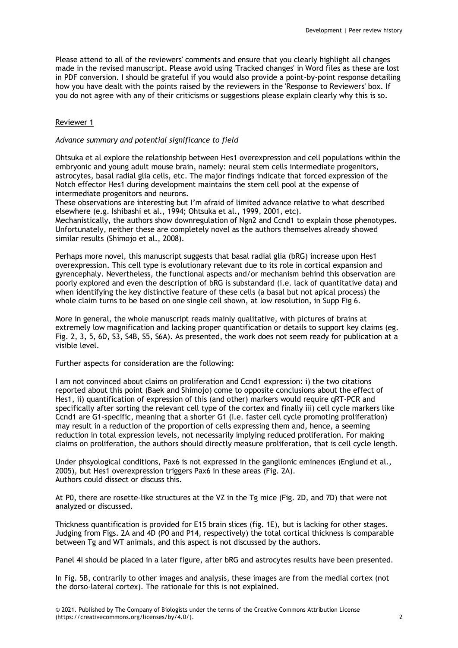Please attend to all of the reviewers' comments and ensure that you clearly highlight all changes made in the revised manuscript. Please avoid using 'Tracked changes' in Word files as these are lost in PDF conversion. I should be grateful if you would also provide a point-by-point response detailing how you have dealt with the points raised by the reviewers in the 'Response to Reviewers' box. If you do not agree with any of their criticisms or suggestions please explain clearly why this is so.

# Reviewer 1

# *Advance summary and potential significance to field*

Ohtsuka et al explore the relationship between Hes1 overexpression and cell populations within the embryonic and young adult mouse brain, namely: neural stem cells intermediate progenitors, astrocytes, basal radial glia cells, etc. The major findings indicate that forced expression of the Notch effector Hes1 during development maintains the stem cell pool at the expense of intermediate progenitors and neurons.

These observations are interesting but I'm afraid of limited advance relative to what described elsewhere (e.g. Ishibashi et al., 1994; Ohtsuka et al., 1999, 2001, etc).

Mechanistically, the authors show downregulation of Ngn2 and Ccnd1 to explain those phenotypes. Unfortunately, neither these are completely novel as the authors themselves already showed similar results (Shimojo et al., 2008).

Perhaps more novel, this manuscript suggests that basal radial glia (bRG) increase upon Hes1 overexpression. This cell type is evolutionary relevant due to its role in cortical expansion and gyrencephaly. Nevertheless, the functional aspects and/or mechanism behind this observation are poorly explored and even the description of bRG is substandard (i.e. lack of quantitative data) and when identifying the key distinctive feature of these cells (a basal but not apical process) the whole claim turns to be based on one single cell shown, at low resolution, in Supp Fig 6.

More in general, the whole manuscript reads mainly qualitative, with pictures of brains at extremely low magnification and lacking proper quantification or details to support key claims (eg. Fig. 2, 3, 5, 6D, S3, S4B, S5, S6A). As presented, the work does not seem ready for publication at a visible level.

Further aspects for consideration are the following:

I am not convinced about claims on proliferation and Ccnd1 expression: i) the two citations reported about this point (Baek and Shimojo) come to opposite conclusions about the effect of Hes1, ii) quantification of expression of this (and other) markers would require qRT-PCR and specifically after sorting the relevant cell type of the cortex and finally iii) cell cycle markers like Ccnd1 are G1-specific, meaning that a shorter G1 (i.e. faster cell cycle promoting proliferation) may result in a reduction of the proportion of cells expressing them and, hence, a seeming reduction in total expression levels, not necessarily implying reduced proliferation. For making claims on proliferation, the authors should directly measure proliferation, that is cell cycle length.

Under phsyological conditions, Pax6 is not expressed in the ganglionic eminences (Englund et al., 2005), but Hes1 overexpression triggers Pax6 in these areas (Fig. 2A). Authors could dissect or discuss this.

At P0, there are rosette-like structures at the VZ in the Tg mice (Fig. 2D, and 7D) that were not analyzed or discussed.

Thickness quantification is provided for E15 brain slices (fig. 1E), but is lacking for other stages. Judging from Figs. 2A and 4D (P0 and P14, respectively) the total cortical thickness is comparable between Tg and WT animals, and this aspect is not discussed by the authors.

Panel 4I should be placed in a later figure, after bRG and astrocytes results have been presented.

In Fig. 5B, contrarily to other images and analysis, these images are from the medial cortex (not the dorso-lateral cortex). The rationale for this is not explained.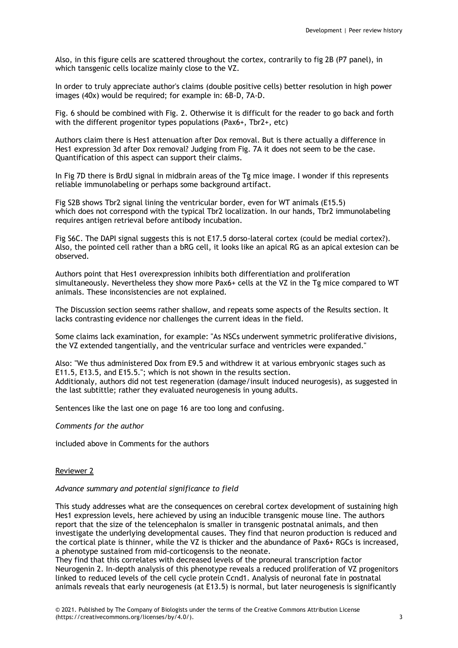Also, in this figure cells are scattered throughout the cortex, contrarily to fig 2B (P7 panel), in which tansgenic cells localize mainly close to the VZ.

In order to truly appreciate author's claims (double positive cells) better resolution in high power images (40x) would be required; for example in: 6B-D, 7A-D.

Fig. 6 should be combined with Fig. 2. Otherwise it is difficult for the reader to go back and forth with the different progenitor types populations (Pax6+, Tbr2+, etc)

Authors claim there is Hes1 attenuation after Dox removal. But is there actually a difference in Hes1 expression 3d after Dox removal? Judging from Fig. 7A it does not seem to be the case. Quantification of this aspect can support their claims.

In Fig 7D there is BrdU signal in midbrain areas of the Tg mice image. I wonder if this represents reliable immunolabeling or perhaps some background artifact.

Fig S2B shows Tbr2 signal lining the ventricular border, even for WT animals (E15.5) which does not correspond with the typical Tbr2 localization. In our hands, Tbr2 immunolabeling requires antigen retrieval before antibody incubation.

Fig S6C. The DAPI signal suggests this is not E17.5 dorso-lateral cortex (could be medial cortex?). Also, the pointed cell rather than a bRG cell, it looks like an apical RG as an apical extesion can be observed.

Authors point that Hes1 overexpression inhibits both differentiation and proliferation simultaneously. Nevertheless they show more Pax6+ cells at the VZ in the Tg mice compared to WT animals. These inconsistencies are not explained.

The Discussion section seems rather shallow, and repeats some aspects of the Results section. It lacks contrasting evidence nor challenges the current ideas in the field.

Some claims lack examination, for example: "As NSCs underwent symmetric proliferative divisions, the VZ extended tangentially, and the ventricular surface and ventricles were expanded."

Also: "We thus administered Dox from E9.5 and withdrew it at various embryonic stages such as E11.5, E13.5, and E15.5."; which is not shown in the results section. Additionaly, authors did not test regeneration (damage/insult induced neurogesis), as suggested in the last subtittle; rather they evaluated neurogenesis in young adults.

Sentences like the last one on page 16 are too long and confusing.

## *Comments for the author*

included above in Comments for the authors

## Reviewer 2

## *Advance summary and potential significance to field*

This study addresses what are the consequences on cerebral cortex development of sustaining high Hes1 expression levels, here achieved by using an inducible transgenic mouse line. The authors report that the size of the telencephalon is smaller in transgenic postnatal animals, and then investigate the underlying developmental causes. They find that neuron production is reduced and the cortical plate is thinner, while the VZ is thicker and the abundance of Pax6+ RGCs is increased, a phenotype sustained from mid-corticogensis to the neonate.

They find that this correlates with decreased levels of the proneural transcription factor Neurogenin 2. In-depth analysis of this phenotype reveals a reduced proliferation of VZ progenitors linked to reduced levels of the cell cycle protein Ccnd1. Analysis of neuronal fate in postnatal animals reveals that early neurogenesis (at E13.5) is normal, but later neurogenesis is significantly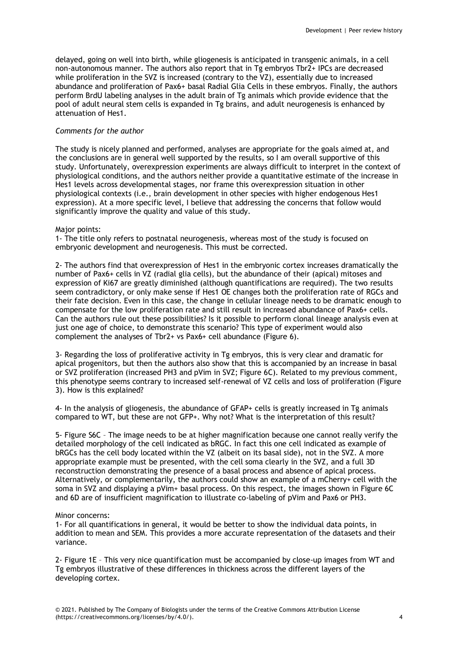delayed, going on well into birth, while gliogenesis is anticipated in transgenic animals, in a cell non-autonomous manner. The authors also report that in Tg embryos Tbr2+ IPCs are decreased while proliferation in the SVZ is increased (contrary to the VZ), essentially due to increased abundance and proliferation of Pax6+ basal Radial Glia Cells in these embryos. Finally, the authors perform BrdU labeling analyses in the adult brain of Tg animals which provide evidence that the pool of adult neural stem cells is expanded in Tg brains, and adult neurogenesis is enhanced by attenuation of Hes1.

## *Comments for the author*

The study is nicely planned and performed, analyses are appropriate for the goals aimed at, and the conclusions are in general well supported by the results, so I am overall supportive of this study. Unfortunately, overexpression experiments are always difficult to interpret in the context of physiological conditions, and the authors neither provide a quantitative estimate of the increase in Hes1 levels across developmental stages, nor frame this overexpression situation in other physiological contexts (i.e., brain development in other species with higher endogenous Hes1 expression). At a more specific level, I believe that addressing the concerns that follow would significantly improve the quality and value of this study.

# Major points:

1- The title only refers to postnatal neurogenesis, whereas most of the study is focused on embryonic development and neurogenesis. This must be corrected.

2- The authors find that overexpression of Hes1 in the embryonic cortex increases dramatically the number of Pax6+ cells in VZ (radial glia cells), but the abundance of their (apical) mitoses and expression of Ki67 are greatly diminished (although quantifications are required). The two results seem contradictory, or only make sense if Hes1 OE changes both the proliferation rate of RGCs and their fate decision. Even in this case, the change in cellular lineage needs to be dramatic enough to compensate for the low proliferation rate and still result in increased abundance of Pax6+ cells. Can the authors rule out these possibilities? Is it possible to perform clonal lineage analysis even at just one age of choice, to demonstrate this scenario? This type of experiment would also complement the analyses of Tbr2+ vs Pax6+ cell abundance (Figure 6).

3- Regarding the loss of proliferative activity in Tg embryos, this is very clear and dramatic for apical progenitors, but then the authors also show that this is accompanied by an increase in basal or SVZ proliferation (increased PH3 and pVim in SVZ; Figure 6C). Related to my previous comment, this phenotype seems contrary to increased self-renewal of VZ cells and loss of proliferation (Figure 3). How is this explained?

4- In the analysis of gliogenesis, the abundance of GFAP+ cells is greatly increased in Tg animals compared to WT, but these are not GFP+. Why not? What is the interpretation of this result?

5- Figure S6C – The image needs to be at higher magnification because one cannot really verify the detailed morphology of the cell indicated as bRGC. In fact this one cell indicated as example of bRGCs has the cell body located within the VZ (albeit on its basal side), not in the SVZ. A more appropriate example must be presented, with the cell soma clearly in the SVZ, and a full 3D reconstruction demonstrating the presence of a basal process and absence of apical process. Alternatively, or complementarily, the authors could show an example of a mCherry+ cell with the soma in SVZ and displaying a pVim+ basal process. On this respect, the images shown in Figure 6C and 6D are of insufficient magnification to illustrate co-labeling of pVim and Pax6 or PH3.

## Minor concerns:

1- For all quantifications in general, it would be better to show the individual data points, in addition to mean and SEM. This provides a more accurate representation of the datasets and their variance.

2- Figure 1E – This very nice quantification must be accompanied by close-up images from WT and Tg embryos illustrative of these differences in thickness across the different layers of the developing cortex.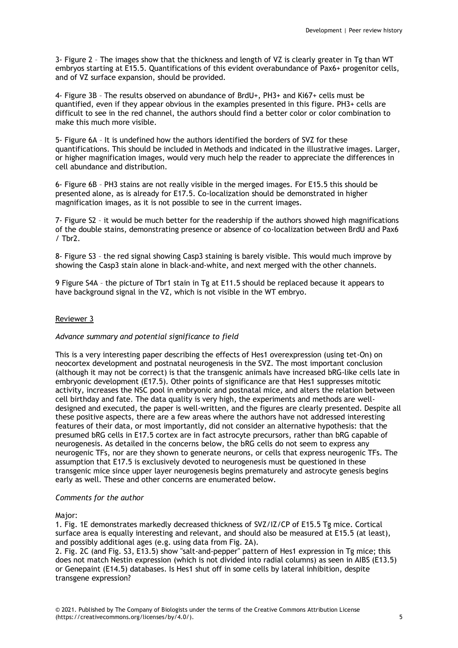3- Figure 2 – The images show that the thickness and length of VZ is clearly greater in Tg than WT embryos starting at E15.5. Quantifications of this evident overabundance of Pax6+ progenitor cells, and of VZ surface expansion, should be provided.

4- Figure 3B – The results observed on abundance of BrdU+, PH3+ and Ki67+ cells must be quantified, even if they appear obvious in the examples presented in this figure. PH3+ cells are difficult to see in the red channel, the authors should find a better color or color combination to make this much more visible.

5- Figure 6A – It is undefined how the authors identified the borders of SVZ for these quantifications. This should be included in Methods and indicated in the illustrative images. Larger, or higher magnification images, would very much help the reader to appreciate the differences in cell abundance and distribution.

6- Figure 6B – PH3 stains are not really visible in the merged images. For E15.5 this should be presented alone, as is already for E17.5. Co-localization should be demonstrated in higher magnification images, as it is not possible to see in the current images.

7- Figure S2 – it would be much better for the readership if the authors showed high magnifications of the double stains, demonstrating presence or absence of co-localization between BrdU and Pax6 / Tbr2.

8- Figure S3 – the red signal showing Casp3 staining is barely visible. This would much improve by showing the Casp3 stain alone in black-and-white, and next merged with the other channels.

9 Figure S4A – the picture of Tbr1 stain in Tg at E11.5 should be replaced because it appears to have background signal in the VZ, which is not visible in the WT embryo.

# Reviewer 3

## *Advance summary and potential significance to field*

This is a very interesting paper describing the effects of Hes1 overexpression (using tet-On) on neocortex development and postnatal neurogenesis in the SVZ. The most important conclusion (although it may not be correct) is that the transgenic animals have increased bRG-like cells late in embryonic development (E17.5). Other points of significance are that Hes1 suppresses mitotic activity, increases the NSC pool in embryonic and postnatal mice, and alters the relation between cell birthday and fate. The data quality is very high, the experiments and methods are welldesigned and executed, the paper is well-written, and the figures are clearly presented. Despite all these positive aspects, there are a few areas where the authors have not addressed interesting features of their data, or most importantly, did not consider an alternative hypothesis: that the presumed bRG cells in E17.5 cortex are in fact astrocyte precursors, rather than bRG capable of neurogenesis. As detailed in the concerns below, the bRG cells do not seem to express any neurogenic TFs, nor are they shown to generate neurons, or cells that express neurogenic TFs. The assumption that E17.5 is exclusively devoted to neurogenesis must be questioned in these transgenic mice since upper layer neurogenesis begins prematurely and astrocyte genesis begins early as well. These and other concerns are enumerated below.

## *Comments for the author*

## Major:

1. Fig. 1E demonstrates markedly decreased thickness of SVZ/IZ/CP of E15.5 Tg mice. Cortical surface area is equally interesting and relevant, and should also be measured at E15.5 (at least), and possibly additional ages (e.g. using data from Fig. 2A).

2. Fig. 2C (and Fig. S3, E13.5) show "salt-and-pepper" pattern of Hes1 expression in Tg mice; this does not match Nestin expression (which is not divided into radial columns) as seen in AIBS (E13.5) or Genepaint (E14.5) databases. Is Hes1 shut off in some cells by lateral inhibition, despite transgene expression?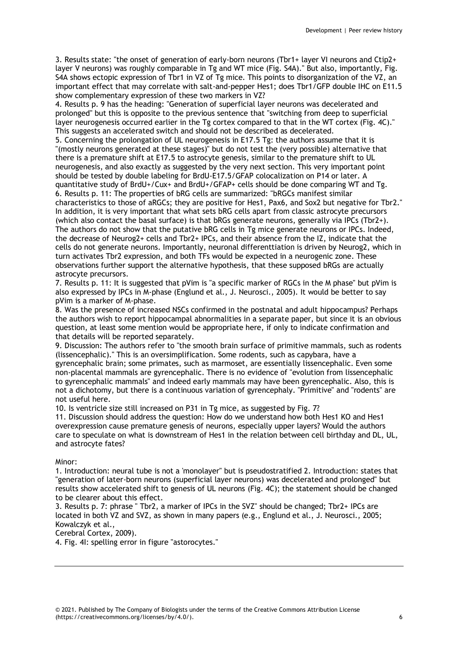3. Results state: "the onset of generation of early-born neurons (Tbr1+ layer VI neurons and Ctip2+ layer V neurons) was roughly comparable in Tg and WT mice (Fig. S4A)." But also, importantly, Fig. S4A shows ectopic expression of Tbr1 in VZ of Tg mice. This points to disorganization of the VZ, an important effect that may correlate with salt-and-pepper Hes1; does Tbr1/GFP double IHC on E11.5 show complementary expression of these two markers in VZ?

4. Results p. 9 has the heading: "Generation of superficial layer neurons was decelerated and prolonged" but this is opposite to the previous sentence that "switching from deep to superficial layer neurogenesis occurred earlier in the Tg cortex compared to that in the WT cortex (Fig. 4C)." This suggests an accelerated switch and should not be described as decelerated.

5. Concerning the prolongation of UL neurogenesis in E17.5 Tg: the authors assume that it is "(mostly neurons generated at these stages)" but do not test the (very possible) alternative that there is a premature shift at E17.5 to astrocyte genesis, similar to the premature shift to UL neurogenesis, and also exactly as suggested by the very next section. This very important point should be tested by double labeling for BrdU-E17.5/GFAP colocalization on P14 or later. A quantitative study of BrdU+/Cux+ and BrdU+/GFAP+ cells should be done comparing WT and Tg. 6. Results p. 11: The properties of bRG cells are summarized: "bRGCs manifest similar characteristics to those of aRGCs; they are positive for Hes1, Pax6, and Sox2 but negative for Tbr2." In addition, it is very important that what sets bRG cells apart from classic astrocyte precursors (which also contact the basal surface) is that bRGs generate neurons, generally via IPCs (Tbr2+). The authors do not show that the putative bRG cells in Tg mice generate neurons or IPCs. Indeed, the decrease of Neurog2+ cells and Tbr2+ IPCs, and their absence from the IZ, indicate that the cells do not generate neurons. Importantly, neuronal differenttiation is driven by Neurog2, which in turn activates Tbr2 expression, and both TFs would be expected in a neurogenic zone. These observations further support the alternative hypothesis, that these supposed bRGs are actually astrocyte precursors.

7. Results p. 11: It is suggested that pVim is "a specific marker of RGCs in the M phase" but pVim is also expressed by IPCs in M-phase (Englund et al., J. Neurosci., 2005). It would be better to say pVim is a marker of M-phase.

8. Was the presence of increased NSCs confirmed in the postnatal and adult hippocampus? Perhaps the authors wish to report hippocampal abnormalities in a separate paper, but since it is an obvious question, at least some mention would be appropriate here, if only to indicate confirmation and that details will be reported separately.

9. Discussion: The authors refer to "the smooth brain surface of primitive mammals, such as rodents (lissencephalic)." This is an oversimplification. Some rodents, such as capybara, have a gyrencephalic brain; some primates, such as marmoset, are essentially lissencephalic. Even some non-placental mammals are gyrencephalic. There is no evidence of "evolution from lissencephalic to gyrencephalic mammals" and indeed early mammals may have been gyrencephalic. Also, this is not a dichotomy, but there is a continuous variation of gyrencephaly. "Primitive" and "rodents" are not useful here.

10. Is ventricle size still increased on P31 in Tg mice, as suggested by Fig. 7?

11. Discussion should address the question: How do we understand how both Hes1 KO and Hes1 overexpression cause premature genesis of neurons, especially upper layers? Would the authors care to speculate on what is downstream of Hes1 in the relation between cell birthday and DL, UL, and astrocyte fates?

Minor:

1. Introduction: neural tube is not a 'monolayer" but is pseudostratified 2. Introduction: states that "generation of later-born neurons (superficial layer neurons) was decelerated and prolonged" but results show accelerated shift to genesis of UL neurons (Fig. 4C); the statement should be changed to be clearer about this effect.

3. Results p. 7: phrase " Tbr2, a marker of IPCs in the SVZ" should be changed; Tbr2+ IPCs are located in both VZ and SVZ, as shown in many papers (e.g., Englund et al., J. Neurosci., 2005; Kowalczyk et al.,

Cerebral Cortex, 2009).

4. Fig. 4I: spelling error in figure "astorocytes."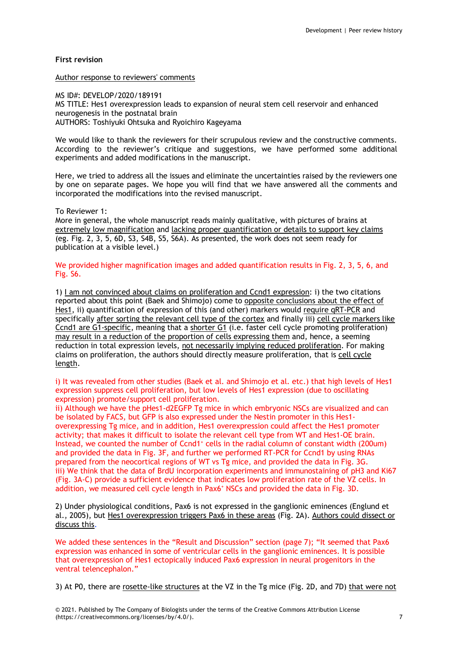# **First revision**

#### Author response to reviewers' comments

MS ID#: DEVELOP/2020/189191 MS TITLE: Hes1 overexpression leads to expansion of neural stem cell reservoir and enhanced neurogenesis in the postnatal brain AUTHORS: Toshiyuki Ohtsuka and Ryoichiro Kageyama

We would like to thank the reviewers for their scrupulous review and the constructive comments. According to the reviewer's critique and suggestions, we have performed some additional experiments and added modifications in the manuscript.

Here, we tried to address all the issues and eliminate the uncertainties raised by the reviewers one by one on separate pages. We hope you will find that we have answered all the comments and incorporated the modifications into the revised manuscript.

## To Reviewer 1:

More in general, the whole manuscript reads mainly qualitative, with pictures of brains at extremely low magnification and lacking proper quantification or details to support key claims (eg. Fig. 2, 3, 5, 6D, S3, S4B, S5, S6A). As presented, the work does not seem ready for publication at a visible level.)

We provided higher magnification images and added quantification results in Fig. 2, 3, 5, 6, and Fig. S6.

1) I am not convinced about claims on proliferation and Ccnd1 expression: i) the two citations reported about this point (Baek and Shimojo) come to opposite conclusions about the effect of Hes1, ii) quantification of expression of this (and other) markers would require qRT-PCR and specifically after sorting the relevant cell type of the cortex and finally iii) cell cycle markers like Ccnd1 are G1-specific, meaning that a shorter G1 (i.e. faster cell cycle promoting proliferation) may result in a reduction of the proportion of cells expressing them and, hence, a seeming reduction in total expression levels, not necessarily implying reduced proliferation. For making claims on proliferation, the authors should directly measure proliferation, that is cell cycle length.

i) It was revealed from other studies (Baek et al. and Shimojo et al. etc.) that high levels of Hes1 expression suppress cell proliferation, but low levels of Hes1 expression (due to oscillating expression) promote/support cell proliferation.

ii) Although we have the pHes1-d2EGFP Tg mice in which embryonic NSCs are visualized and can be isolated by FACS, but GFP is also expressed under the Nestin promoter in this Hes1 overexpressing Tg mice, and in addition, Hes1 overexpression could affect the Hes1 promoter activity; that makes it difficult to isolate the relevant cell type from WT and Hes1-OE brain. Instead, we counted the number of Ccnd1<sup>+</sup> cells in the radial column of constant width (200um) and provided the data in Fig. 3F, and further we performed RT-PCR for Ccnd1 by using RNAs prepared from the neocortical regions of WT vs Tg mice, and provided the data in Fig. 3G. iii) We think that the data of BrdU incorporation experiments and immunostaining of pH3 and Ki67 (Fig. 3A-C) provide a sufficient evidence that indicates low proliferation rate of the VZ cells. In addition, we measured cell cycle length in Pax6<sup>+</sup> NSCs and provided the data in Fig. 3D.

2) Under physiological conditions, Pax6 is not expressed in the ganglionic eminences (Englund et al., 2005), but Hes1 overexpression triggers Pax6 in these areas (Fig. 2A). Authors could dissect or discuss this.

We added these sentences in the "Result and Discussion" section (page 7); "It seemed that Pax6 expression was enhanced in some of ventricular cells in the ganglionic eminences. It is possible that overexpression of Hes1 ectopically induced Pax6 expression in neural progenitors in the ventral telencephalon."

3) At P0, there are rosette-like structures at the VZ in the Tg mice (Fig. 2D, and 7D) that were not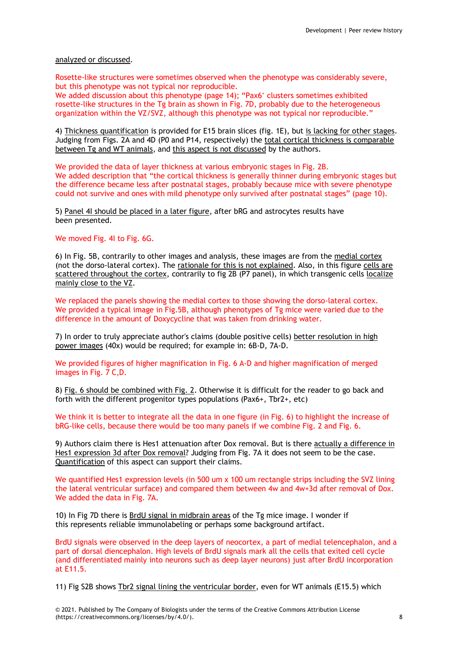# analyzed or discussed.

Rosette-like structures were sometimes observed when the phenotype was considerably severe, but this phenotype was not typical nor reproducible.

We added discussion about this phenotype (page 14); "Pax6<sup>+</sup> clusters sometimes exhibited rosette-like structures in the Tg brain as shown in Fig. 7D, probably due to the heterogeneous organization within the VZ/SVZ, although this phenotype was not typical nor reproducible."

4) Thickness quantification is provided for E15 brain slices (fig. 1E), but is lacking for other stages. Judging from Figs. 2A and 4D (P0 and P14, respectively) the total cortical thickness is comparable between Tg and WT animals, and this aspect is not discussed by the authors.

We provided the data of layer thickness at various embryonic stages in Fig. 2B. We added description that "the cortical thickness is generally thinner during embryonic stages but the difference became less after postnatal stages, probably because mice with severe phenotype could not survive and ones with mild phenotype only survived after postnatal stages" (page 10).

5) Panel 4I should be placed in a later figure, after bRG and astrocytes results have been presented.

## We moved Fig. 4I to Fig. 6G.

6) In Fig. 5B, contrarily to other images and analysis, these images are from the medial cortex (not the dorso-lateral cortex). The rationale for this is not explained. Also, in this figure cells are scattered throughout the cortex, contrarily to fig 2B (P7 panel), in which transgenic cells localize mainly close to the VZ.

We replaced the panels showing the medial cortex to those showing the dorso-lateral cortex. We provided a typical image in Fig.5B, although phenotypes of Tg mice were varied due to the difference in the amount of Doxycycline that was taken from drinking water.

7) In order to truly appreciate author's claims (double positive cells) better resolution in high power images (40x) would be required; for example in: 6B-D, 7A-D.

We provided figures of higher magnification in Fig. 6 A-D and higher magnification of merged images in Fig. 7 C,D.

8) Fig. 6 should be combined with Fig. 2. Otherwise it is difficult for the reader to go back and forth with the different progenitor types populations (Pax6+, Tbr2+, etc)

We think it is better to integrate all the data in one figure (in Fig. 6) to highlight the increase of bRG-like cells, because there would be too many panels if we combine Fig. 2 and Fig. 6.

9) Authors claim there is Hes1 attenuation after Dox removal. But is there actually a difference in Hes1 expression 3d after Dox removal? Judging from Fig. 7A it does not seem to be the case. Quantification of this aspect can support their claims.

We quantified Hes1 expression levels (in 500 um x 100 um rectangle strips including the SVZ lining the lateral ventricular surface) and compared them between 4w and 4w+3d after removal of Dox. We added the data in Fig. 7A.

10) In Fig 7D there is BrdU signal in midbrain areas of the Tg mice image. I wonder if this represents reliable immunolabeling or perhaps some background artifact.

BrdU signals were observed in the deep layers of neocortex, a part of medial telencephalon, and a part of dorsal diencephalon. High levels of BrdU signals mark all the cells that exited cell cycle (and differentiated mainly into neurons such as deep layer neurons) just after BrdU incorporation at E11.5.

11) Fig S2B shows Tbr2 signal lining the ventricular border, even for WT animals (E15.5) which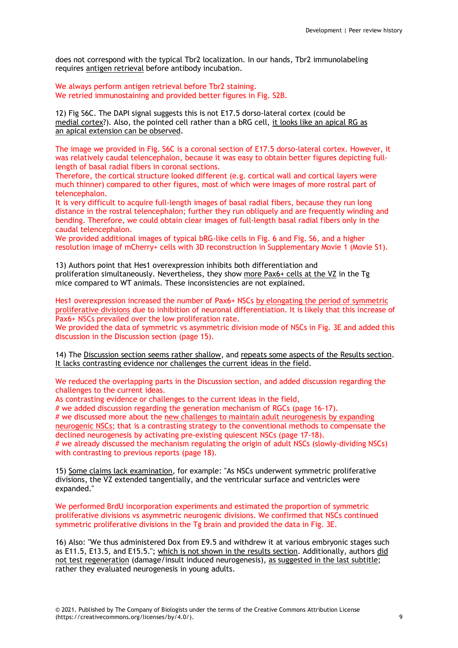does not correspond with the typical Tbr2 localization. In our hands, Tbr2 immunolabeling requires antigen retrieval before antibody incubation.

We always perform antigen retrieval before Tbr2 staining. We retried immunostaining and provided better figures in Fig. S2B.

12) Fig S6C. The DAPI signal suggests this is not E17.5 dorso-lateral cortex (could be medial cortex?). Also, the pointed cell rather than a bRG cell, it looks like an apical RG as an apical extension can be observed.

The image we provided in Fig. S6C is a coronal section of E17.5 dorso-lateral cortex. However, it was relatively caudal telencephalon, because it was easy to obtain better figures depicting fulllength of basal radial fibers in coronal sections.

Therefore, the cortical structure looked different (e.g. cortical wall and cortical layers were much thinner) compared to other figures, most of which were images of more rostral part of telencephalon.

It is very difficult to acquire full-length images of basal radial fibers, because they run long distance in the rostral telencephalon; further they run obliquely and are frequently winding and bending. Therefore, we could obtain clear images of full-length basal radial fibers only in the caudal telencephalon.

We provided additional images of typical bRG-like cells in Fig. 6 and Fig. S6, and a higher resolution image of mCherry+ cells with 3D reconstruction in Supplementary Movie 1 (Movie S1).

13) Authors point that Hes1 overexpression inhibits both differentiation and proliferation simultaneously. Nevertheless, they show more Pax6+ cells at the VZ in the Tg mice compared to WT animals. These inconsistencies are not explained.

Hes1 overexpression increased the number of Pax6+ NSCs by elongating the period of symmetric proliferative divisions due to inhibition of neuronal differentiation. It is likely that this increase of Pax6+ NSCs prevailed over the low proliferation rate.

We provided the data of symmetric vs asymmetric division mode of NSCs in Fig. 3E and added this discussion in the Discussion section (page 15).

14) The Discussion section seems rather shallow, and repeats some aspects of the Results section. It lacks contrasting evidence nor challenges the current ideas in the field.

We reduced the overlapping parts in the Discussion section, and added discussion regarding the challenges to the current ideas.

As contrasting evidence or challenges to the current ideas in the field,

# we added discussion regarding the generation mechanism of RGCs (page 16-17). # we discussed more about the new challenges to maintain adult neurogenesis by expanding neurogenic NSCs; that is a contrasting strategy to the conventional methods to compensate the declined neurogenesis by activating pre-existing quiescent NSCs (page 17-18). # we already discussed the mechanism regulating the origin of adult NSCs (slowly-dividing NSCs) with contrasting to previous reports (page 18).

15) Some claims lack examination, for example: "As NSCs underwent symmetric proliferative divisions, the VZ extended tangentially, and the ventricular surface and ventricles were expanded."

We performed BrdU incorporation experiments and estimated the proportion of symmetric proliferative divisions vs asymmetric neurogenic divisions. We confirmed that NSCs continued symmetric proliferative divisions in the Tg brain and provided the data in Fig. 3E.

16) Also: "We thus administered Dox from E9.5 and withdrew it at various embryonic stages such as E11.5, E13.5, and E15.5."; which is not shown in the results section. Additionally, authors did not test regeneration (damage/insult induced neurogenesis), as suggested in the last subtitle; rather they evaluated neurogenesis in young adults.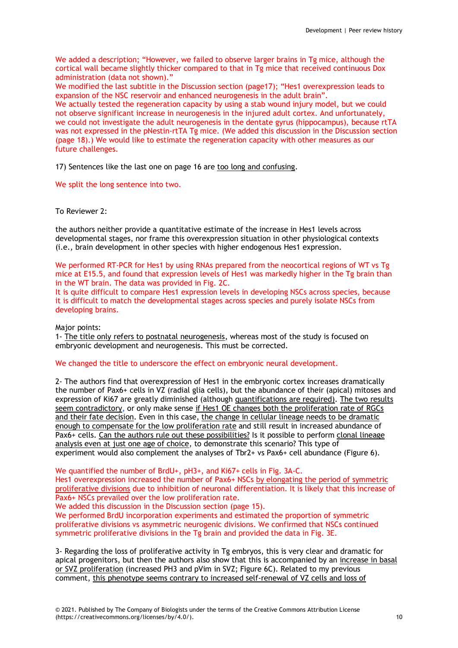We added a description; "However, we failed to observe larger brains in Tg mice, although the cortical wall became slightly thicker compared to that in Tg mice that received continuous Dox administration (data not shown)."

We modified the last subtitle in the Discussion section (page17); "Hes1 overexpression leads to expansion of the NSC reservoir and enhanced neurogenesis in the adult brain".

We actually tested the regeneration capacity by using a stab wound injury model, but we could not observe significant increase in neurogenesis in the injured adult cortex. And unfortunately, we could not investigate the adult neurogenesis in the dentate gyrus (hippocampus), because rtTA was not expressed in the pNestin-rtTA Tg mice. (We added this discussion in the Discussion section (page 18).) We would like to estimate the regeneration capacity with other measures as our future challenges.

17) Sentences like the last one on page 16 are too long and confusing.

We split the long sentence into two.

# To Reviewer 2:

the authors neither provide a quantitative estimate of the increase in Hes1 levels across developmental stages, nor frame this overexpression situation in other physiological contexts (i.e., brain development in other species with higher endogenous Hes1 expression.

We performed RT-PCR for Hes1 by using RNAs prepared from the neocortical regions of WT vs Tg mice at E15.5, and found that expression levels of Hes1 was markedly higher in the Tg brain than in the WT brain. The data was provided in Fig. 2C.

It is quite difficult to compare Hes1 expression levels in developing NSCs across species, because it is difficult to match the developmental stages across species and purely isolate NSCs from developing brains.

## Major points:

1- The title only refers to postnatal neurogenesis, whereas most of the study is focused on embryonic development and neurogenesis. This must be corrected.

## We changed the title to underscore the effect on embryonic neural development.

2- The authors find that overexpression of Hes1 in the embryonic cortex increases dramatically the number of Pax6+ cells in VZ (radial glia cells), but the abundance of their (apical) mitoses and expression of Ki67 are greatly diminished (although quantifications are required). The two results seem contradictory, or only make sense if Hes1 OE changes both the proliferation rate of RGCs and their fate decision. Even in this case, the change in cellular lineage needs to be dramatic enough to compensate for the low proliferation rate and still result in increased abundance of Pax6+ cells. Can the authors rule out these possibilities? Is it possible to perform clonal lineage analysis even at just one age of choice, to demonstrate this scenario? This type of experiment would also complement the analyses of Tbr2+ vs Pax6+ cell abundance (Figure 6).

We quantified the number of BrdU+, pH3+, and Ki67+ cells in Fig. 3A-C.

Hes1 overexpression increased the number of Pax6+ NSCs by elongating the period of symmetric proliferative divisions due to inhibition of neuronal differentiation. It is likely that this increase of Pax6+ NSCs prevailed over the low proliferation rate.

We added this discussion in the Discussion section (page 15).

We performed BrdU incorporation experiments and estimated the proportion of symmetric proliferative divisions vs asymmetric neurogenic divisions. We confirmed that NSCs continued symmetric proliferative divisions in the Tg brain and provided the data in Fig. 3E.

3- Regarding the loss of proliferative activity in Tg embryos, this is very clear and dramatic for apical progenitors, but then the authors also show that this is accompanied by an increase in basal or SVZ proliferation (increased PH3 and pVim in SVZ; Figure 6C). Related to my previous comment, this phenotype seems contrary to increased self-renewal of VZ cells and loss of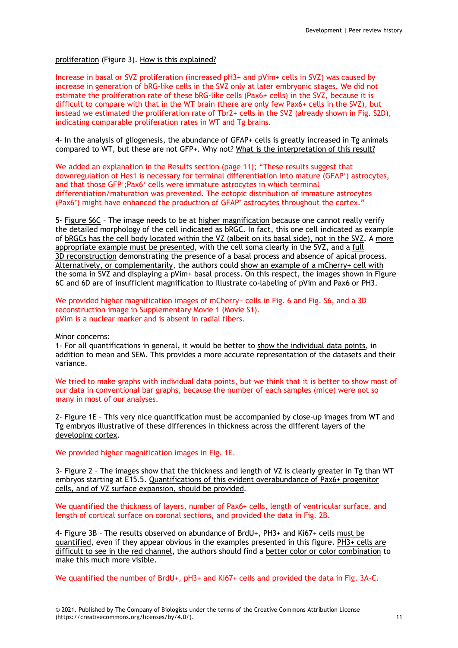# proliferation (Figure 3). How is this explained?

Increase in basal or SVZ proliferation (increased pH3+ and pVim+ cells in SVZ) was caused by increase in generation of bRG-like cells in the SVZ only at later embryonic stages. We did not estimate the proliferation rate of these bRG-like cells (Pax6+ cells) in the SVZ, because it is difficult to compare with that in the WT brain (there are only few Pax6+ cells in the SVZ), but instead we estimated the proliferation rate of Tbr2+ cells in the SVZ (already shown in Fig. S2D), indicating comparable proliferation rates in WT and Tg brains.

4- In the analysis of gliogenesis, the abundance of GFAP+ cells is greatly increased in Tg animals compared to WT, but these are not GFP+. Why not? What is the interpretation of this result?

We added an explanation in the Results section (page 11); "These results suggest that downregulation of Hes1 is necessary for terminal differentiation into mature (GFAP<sup>+</sup>) astrocytes, and that those GFP+; Pax6+ cells were immature astrocytes in which terminal differentiation/maturation was prevented. The ectopic distribution of immature astrocytes (Pax6<sup>+</sup>) might have enhanced the production of GFAP<sup>+</sup> astrocytes throughout the cortex."

5- Figure S6C – The image needs to be at higher magnification because one cannot really verify the detailed morphology of the cell indicated as bRGC. In fact, this one cell indicated as example of bRGCs has the cell body located within the VZ (albeit on its basal side), not in the SVZ. A more appropriate example must be presented, with the cell soma clearly in the SVZ, and a full 3D reconstruction demonstrating the presence of a basal process and absence of apical process. Alternatively, or complementarily, the authors could show an example of a mCherry+ cell with the soma in SVZ and displaying a pVim+ basal process. On this respect, the images shown in Figure 6C and 6D are of insufficient magnification to illustrate co-labeling of pVim and Pax6 or PH3.

We provided higher magnification images of mCherry+ cells in Fig. 6 and Fig. S6, and a 3D reconstruction image in Supplementary Movie 1 (Movie S1). pVim is a nuclear marker and is absent in radial fibers.

Minor concerns:

1- For all quantifications in general, it would be better to show the individual data points, in addition to mean and SEM. This provides a more accurate representation of the datasets and their variance.

We tried to make graphs with individual data points, but we think that it is better to show most of our data in conventional bar graphs, because the number of each samples (mice) were not so many in most of our analyses.

2- Figure 1E – This very nice quantification must be accompanied by close-up images from WT and Tg embryos illustrative of these differences in thickness across the different layers of the developing cortex.

We provided higher magnification images in Fig. 1E.

3- Figure 2 – The images show that the thickness and length of VZ is clearly greater in Tg than WT embryos starting at E15.5. Quantifications of this evident overabundance of Pax6+ progenitor cells, and of VZ surface expansion, should be provided.

We quantified the thickness of layers, number of Pax6+ cells, length of ventricular surface, and length of cortical surface on coronal sections, and provided the data in Fig. 2B.

4- Figure 3B – The results observed on abundance of BrdU+, PH3+ and Ki67+ cells must be quantified, even if they appear obvious in the examples presented in this figure. PH3+ cells are difficult to see in the red channel, the authors should find a better color or color combination to make this much more visible.

We quantified the number of BrdU+, pH3+ and Ki67+ cells and provided the data in Fig. 3A-C.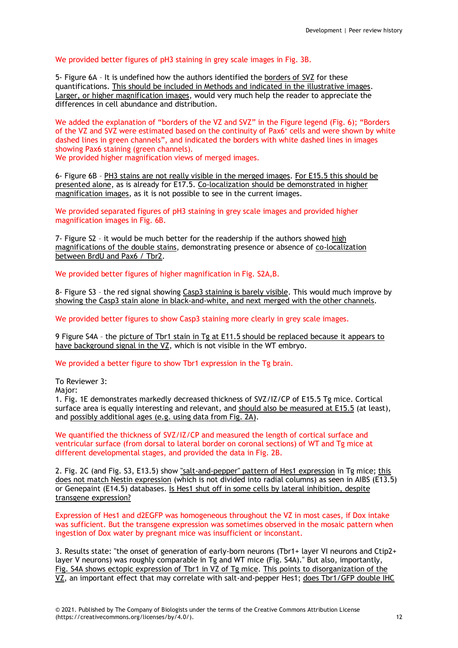# We provided better figures of pH3 staining in grey scale images in Fig. 3B.

5- Figure 6A – It is undefined how the authors identified the borders of SVZ for these quantifications. This should be included in Methods and indicated in the illustrative images. Larger, or higher magnification images, would very much help the reader to appreciate the differences in cell abundance and distribution.

We added the explanation of "borders of the VZ and SVZ" in the Figure legend (Fig. 6); "Borders of the VZ and SVZ were estimated based on the continuity of Pax6<sup>+</sup> cells and were shown by white dashed lines in green channels", and indicated the borders with white dashed lines in images showing Pax6 staining (green channels).

We provided higher magnification views of merged images.

6- Figure 6B – PH3 stains are not really visible in the merged images. For E15.5 this should be presented alone, as is already for E17.5. Co-localization should be demonstrated in higher magnification images, as it is not possible to see in the current images.

We provided separated figures of pH3 staining in grey scale images and provided higher magnification images in Fig. 6B.

7- Figure S2 – it would be much better for the readership if the authors showed high magnifications of the double stains, demonstrating presence or absence of co-localization between BrdU and Pax6 / Tbr2.

We provided better figures of higher magnification in Fig. S2A,B.

8- Figure S3 – the red signal showing Casp3 staining is barely visible. This would much improve by showing the Casp3 stain alone in black-and-white, and next merged with the other channels.

We provided better figures to show Casp3 staining more clearly in grey scale images.

9 Figure S4A – the picture of Tbr1 stain in Tg at E11.5 should be replaced because it appears to have background signal in the VZ, which is not visible in the WT embryo.

We provided a better figure to show Tbr1 expression in the Tg brain.

To Reviewer 3:

Major:

1. Fig. 1E demonstrates markedly decreased thickness of SVZ/IZ/CP of E15.5 Tg mice. Cortical surface area is equally interesting and relevant, and should also be measured at E15.5 (at least), and possibly additional ages (e.g. using data from Fig. 2A).

We quantified the thickness of SVZ/IZ/CP and measured the length of cortical surface and ventricular surface (from dorsal to lateral border on coronal sections) of WT and Tg mice at different developmental stages, and provided the data in Fig. 2B.

2. Fig. 2C (and Fig. S3, E13.5) show "salt-and-pepper" pattern of Hes1 expression in Tg mice; this does not match Nestin expression (which is not divided into radial columns) as seen in AIBS (E13.5) or Genepaint (E14.5) databases. Is Hes1 shut off in some cells by lateral inhibition, despite transgene expression?

Expression of Hes1 and d2EGFP was homogeneous throughout the VZ in most cases, if Dox intake was sufficient. But the transgene expression was sometimes observed in the mosaic pattern when ingestion of Dox water by pregnant mice was insufficient or inconstant.

3. Results state: "the onset of generation of early-born neurons (Tbr1+ layer VI neurons and Ctip2+ layer V neurons) was roughly comparable in Tg and WT mice (Fig. S4A)." But also, importantly, Fig. S4A shows ectopic expression of Tbr1 in VZ of Tg mice. This points to disorganization of the VZ, an important effect that may correlate with salt-and-pepper Hes1; does Tbr1/GFP double IHC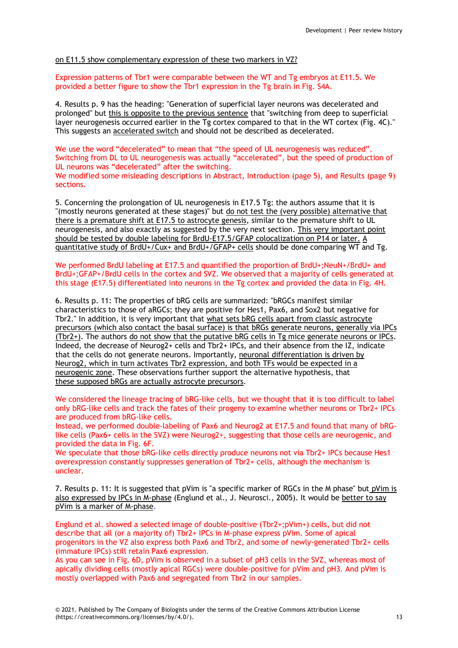# on E11.5 show complementary expression of these two markers in VZ?

Expression patterns of Tbr1 were comparable between the WT and Tg embryos at E11.5. We provided a better figure to show the Tbr1 expression in the Tg brain in Fig. S4A.

4. Results p. 9 has the heading: "Generation of superficial layer neurons was decelerated and prolonged" but this is opposite to the previous sentence that "switching from deep to superficial layer neurogenesis occurred earlier in the Tg cortex compared to that in the WT cortex (Fig. 4C)." This suggests an accelerated switch and should not be described as decelerated.

We use the word "decelerated" to mean that "the speed of UL neurogenesis was reduced". Switching from DL to UL neurogenesis was actually "accelerated", but the speed of production of UL neurons was "decelerated" after the switching. We modified some misleading descriptions in Abstract, Introduction (page 5), and Results (page 9) sections.

5. Concerning the prolongation of UL neurogenesis in E17.5 Tg: the authors assume that it is "(mostly neurons generated at these stages)" but do not test the (very possible) alternative that there is a premature shift at E17.5 to astrocyte genesis, similar to the premature shift to UL neurogenesis, and also exactly as suggested by the very next section. This very important point should be tested by double labeling for BrdU-E17.5/GFAP colocalization on P14 or later. A quantitative study of BrdU+/Cux+ and BrdU+/GFAP+ cells should be done comparing WT and Tg.

We performed BrdU labeling at E17.5 and quantified the proportion of BrdU+;NeuN+/BrdU+ and BrdU+;GFAP+/BrdU cells in the cortex and SVZ. We observed that a majority of cells generated at this stage (E17.5) differentiated into neurons in the Tg cortex and provided the data in Fig. 4H.

6. Results p. 11: The properties of bRG cells are summarized: "bRGCs manifest similar characteristics to those of aRGCs; they are positive for Hes1, Pax6, and Sox2 but negative for Tbr2." In addition, it is very important that what sets bRG cells apart from classic astrocyte precursors (which also contact the basal surface) is that bRGs generate neurons, generally via IPCs (Tbr2+). The authors do not show that the putative bRG cells in Tg mice generate neurons or IPCs. Indeed, the decrease of Neurog2+ cells and Tbr2+ IPCs, and their absence from the IZ, indicate that the cells do not generate neurons. Importantly, neuronal differentiation is driven by Neurog2, which in turn activates Tbr2 expression, and both TFs would be expected in a neurogenic zone. These observations further support the alternative hypothesis, that these supposed bRGs are actually astrocyte precursors.

We considered the lineage tracing of bRG-like cells, but we thought that it is too difficult to label only bRG-like cells and track the fates of their progeny to examine whether neurons or Tbr2+ IPCs are produced from bRG-like cells.

Instead, we performed double-labeling of Pax6 and Neurog2 at E17.5 and found that many of bRGlike cells (Pax6+ cells in the SVZ) were Neurog2+, suggesting that those cells are neurogenic, and provided the data in Fig. 6F.

We speculate that those bRG-like cells directly produce neurons not via Tbr2+ IPCs because Hes1 overexpression constantly suppresses generation of Tbr2+ cells, although the mechanism is unclear.

7. Results p. 11: It is suggested that pVim is "a specific marker of RGCs in the M phase" but pVim is also expressed by IPCs in M-phase (Englund et al., J. Neurosci., 2005). It would be better to say pVim is a marker of M-phase.

Englund et al. showed a selected image of double-positive (Tbr2+;pVim+) cells, but did not describe that all (or a majority of) Tbr2+ IPCs in M-phase express pVim. Some of apical progenitors in the VZ also express both Pax6 and Tbr2, and some of newly-generated Tbr2+ cells (immature IPCs) still retain Pax6 expression.

As you can see in Fig. 6D, pVim is observed in a subset of pH3 cells in the SVZ, whereas most of apically dividing cells (mostly apical RGCs) were double-positive for pVim and pH3. And pVim is mostly overlapped with Pax6 and segregated from Tbr2 in our samples.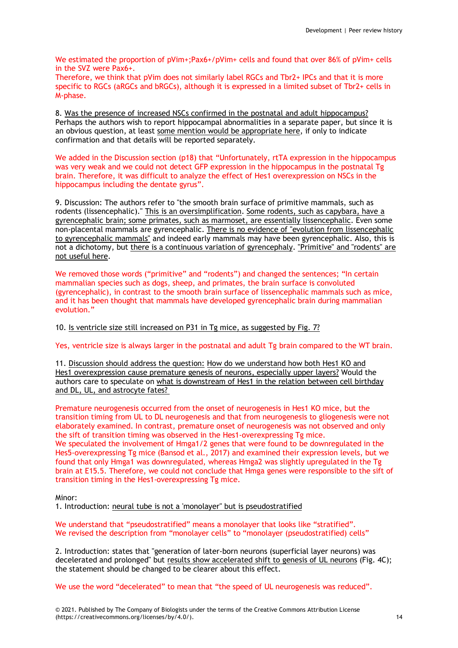We estimated the proportion of pVim+;Pax6+/pVim+ cells and found that over 86% of pVim+ cells in the SVZ were Pax6+.

Therefore, we think that pVim does not similarly label RGCs and Tbr2+ IPCs and that it is more specific to RGCs (aRGCs and bRGCs), although it is expressed in a limited subset of Tbr2+ cells in M-phase.

8. Was the presence of increased NSCs confirmed in the postnatal and adult hippocampus? Perhaps the authors wish to report hippocampal abnormalities in a separate paper, but since it is an obvious question, at least some mention would be appropriate here, if only to indicate confirmation and that details will be reported separately.

We added in the Discussion section (p18) that "Unfortunately, rtTA expression in the hippocampus was very weak and we could not detect GFP expression in the hippocampus in the postnatal Tg brain. Therefore, it was difficult to analyze the effect of Hes1 overexpression on NSCs in the hippocampus including the dentate gyrus".

9. Discussion: The authors refer to "the smooth brain surface of primitive mammals, such as rodents (lissencephalic)." This is an oversimplification. Some rodents, such as capybara, have a gyrencephalic brain; some primates, such as marmoset, are essentially lissencephalic. Even some non-placental mammals are gyrencephalic. There is no evidence of "evolution from lissencephalic to gyrencephalic mammals" and indeed early mammals may have been gyrencephalic. Also, this is not a dichotomy, but there is a continuous variation of gyrencephaly. "Primitive" and "rodents" are not useful here.

We removed those words ("primitive" and "rodents") and changed the sentences; "In certain mammalian species such as dogs, sheep, and primates, the brain surface is convoluted (gyrencephalic), in contrast to the smooth brain surface of lissencephalic mammals such as mice, and it has been thought that mammals have developed gyrencephalic brain during mammalian evolution."

10. Is ventricle size still increased on P31 in Tg mice, as suggested by Fig. 7?

Yes, ventricle size is always larger in the postnatal and adult Tg brain compared to the WT brain.

11. Discussion should address the question: How do we understand how both Hes1 KO and Hes1 overexpression cause premature genesis of neurons, especially upper layers? Would the authors care to speculate on what is downstream of Hes1 in the relation between cell birthday and DL, UL, and astrocyte fates?

Premature neurogenesis occurred from the onset of neurogenesis in Hes1 KO mice, but the transition timing from UL to DL neurogenesis and that from neurogenesis to gliogenesis were not elaborately examined. In contrast, premature onset of neurogenesis was not observed and only the sift of transition timing was observed in the Hes1-overexpressing Tg mice. We speculated the involvement of Hmga1/2 genes that were found to be downregulated in the Hes5-overexpressing Tg mice (Bansod et al., 2017) and examined their expression levels, but we found that only Hmga1 was downregulated, whereas Hmga2 was slightly upregulated in the Tg brain at E15.5. Therefore, we could not conclude that Hmga genes were responsible to the sift of transition timing in the Hes1-overexpressing Tg mice.

Minor:

1. Introduction: neural tube is not a 'monolayer" but is pseudostratified

We understand that "pseudostratified" means a monolayer that looks like "stratified". We revised the description from "monolayer cells" to "monolayer (pseudostratified) cells"

2. Introduction: states that "generation of later-born neurons (superficial layer neurons) was decelerated and prolonged" but results show accelerated shift to genesis of UL neurons (Fig. 4C); the statement should be changed to be clearer about this effect.

We use the word "decelerated" to mean that "the speed of UL neurogenesis was reduced".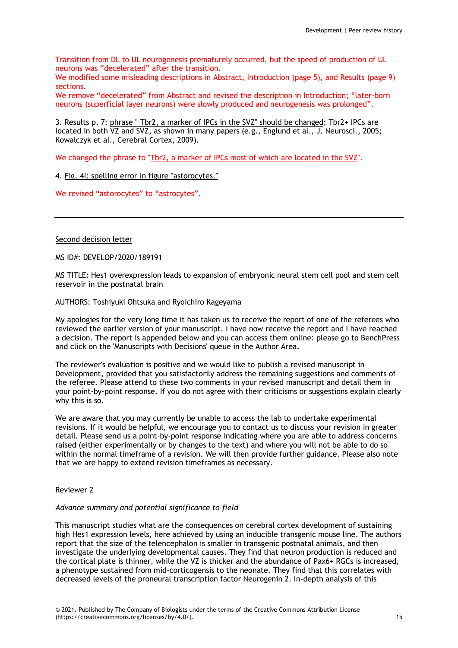Transition from DL to UL neurogenesis prematurely occurred, but the speed of production of UL neurons was "decelerated" after the transition.

We modified some misleading descriptions in Abstract, Introduction (page 5), and Results (page 9) sections.

We remove "decelerated" from Abstract and revised the description in Introduction; "later-born neurons (superficial layer neurons) were slowly produced and neurogenesis was prolonged".

3. Results p. 7: phrase " Tbr2, a marker of IPCs in the SVZ" should be changed; Tbr2+ IPCs are located in both VZ and SVZ, as shown in many papers (e.g., Englund et al., J. Neurosci., 2005; Kowalczyk et al., Cerebral Cortex, 2009).

We changed the phrase to "Tbr2, a marker of IPCs most of which are located in the SVZ".

4. Fig. 4I: spelling error in figure "astorocytes."

We revised "astorocytes" to "astrocytes".

Second decision letter

MS ID#: DEVELOP/2020/189191

MS TITLE: Hes1 overexpression leads to expansion of embryonic neural stem cell pool and stem cell reservoir in the postnatal brain

AUTHORS: Toshiyuki Ohtsuka and Ryoichiro Kageyama

My apologies for the very long time it has taken us to receive the report of one of the referees who reviewed the earlier version of your manuscript. I have now receive the report and I have reached a decision. The report is appended below and you can access them online: please go to BenchPress and click on the 'Manuscripts with Decisions' queue in the Author Area.

The reviewer's evaluation is positive and we would like to publish a revised manuscript in Development, provided that you satisfactorily address the remaining suggestions and comments of the referee. Please attend to these two comments in your revised manuscript and detail them in your point-by-point response. If you do not agree with their criticisms or suggestions explain clearly why this is so.

We are aware that you may currently be unable to access the lab to undertake experimental revisions. If it would be helpful, we encourage you to contact us to discuss your revision in greater detail. Please send us a point-by-point response indicating where you are able to address concerns raised (either experimentally or by changes to the text) and where you will not be able to do so within the normal timeframe of a revision. We will then provide further guidance. Please also note that we are happy to extend revision timeframes as necessary.

# Reviewer 2

## *Advance summary and potential significance to field*

This manuscript studies what are the consequences on cerebral cortex development of sustaining high Hes1 expression levels, here achieved by using an inducible transgenic mouse line. The authors report that the size of the telencephalon is smaller in transgenic postnatal animals, and then investigate the underlying developmental causes. They find that neuron production is reduced and the cortical plate is thinner, while the VZ is thicker and the abundance of Pax6+ RGCs is increased, a phenotype sustained from mid-corticogensis to the neonate. They find that this correlates with decreased levels of the proneural transcription factor Neurogenin 2. In-depth analysis of this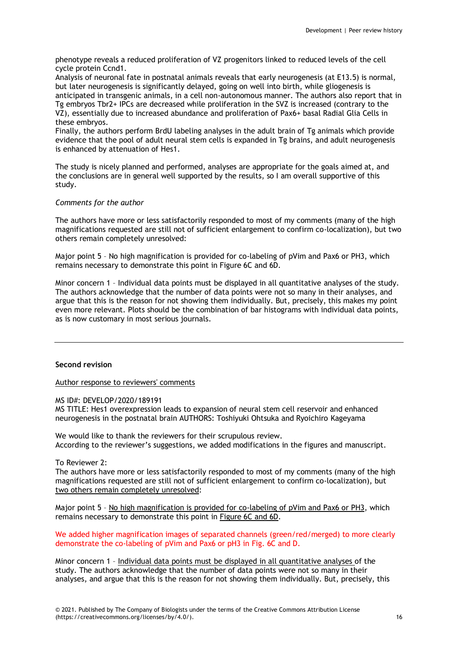phenotype reveals a reduced proliferation of VZ progenitors linked to reduced levels of the cell cycle protein Ccnd1.

Analysis of neuronal fate in postnatal animals reveals that early neurogenesis (at E13.5) is normal, but later neurogenesis is significantly delayed, going on well into birth, while gliogenesis is anticipated in transgenic animals, in a cell non-autonomous manner. The authors also report that in Tg embryos Tbr2+ IPCs are decreased while proliferation in the SVZ is increased (contrary to the VZ), essentially due to increased abundance and proliferation of Pax6+ basal Radial Glia Cells in these embryos.

Finally, the authors perform BrdU labeling analyses in the adult brain of Tg animals which provide evidence that the pool of adult neural stem cells is expanded in Tg brains, and adult neurogenesis is enhanced by attenuation of Hes1.

The study is nicely planned and performed, analyses are appropriate for the goals aimed at, and the conclusions are in general well supported by the results, so I am overall supportive of this study.

# *Comments for the author*

The authors have more or less satisfactorily responded to most of my comments (many of the high magnifications requested are still not of sufficient enlargement to confirm co-localization), but two others remain completely unresolved:

Major point 5 – No high magnification is provided for co-labeling of pVim and Pax6 or PH3, which remains necessary to demonstrate this point in Figure 6C and 6D.

Minor concern 1 – Individual data points must be displayed in all quantitative analyses of the study. The authors acknowledge that the number of data points were not so many in their analyses, and argue that this is the reason for not showing them individually. But, precisely, this makes my point even more relevant. Plots should be the combination of bar histograms with individual data points, as is now customary in most serious journals.

## **Second revision**

Author response to reviewers' comments

MS ID#: DEVELOP/2020/189191

MS TITLE: Hes1 overexpression leads to expansion of neural stem cell reservoir and enhanced neurogenesis in the postnatal brain AUTHORS: Toshiyuki Ohtsuka and Ryoichiro Kageyama

We would like to thank the reviewers for their scrupulous review. According to the reviewer's suggestions, we added modifications in the figures and manuscript.

To Reviewer 2:

The authors have more or less satisfactorily responded to most of my comments (many of the high magnifications requested are still not of sufficient enlargement to confirm co-localization), but two others remain completely unresolved:

Major point 5 – No high magnification is provided for co-labeling of pVim and Pax6 or PH3, which remains necessary to demonstrate this point in Figure 6C and 6D.

We added higher magnification images of separated channels (green/red/merged) to more clearly demonstrate the co-labeling of pVim and Pax6 or pH3 in Fig. 6C and D.

Minor concern 1 – Individual data points must be displayed in all quantitative analyses of the study. The authors acknowledge that the number of data points were not so many in their analyses, and argue that this is the reason for not showing them individually. But, precisely, this